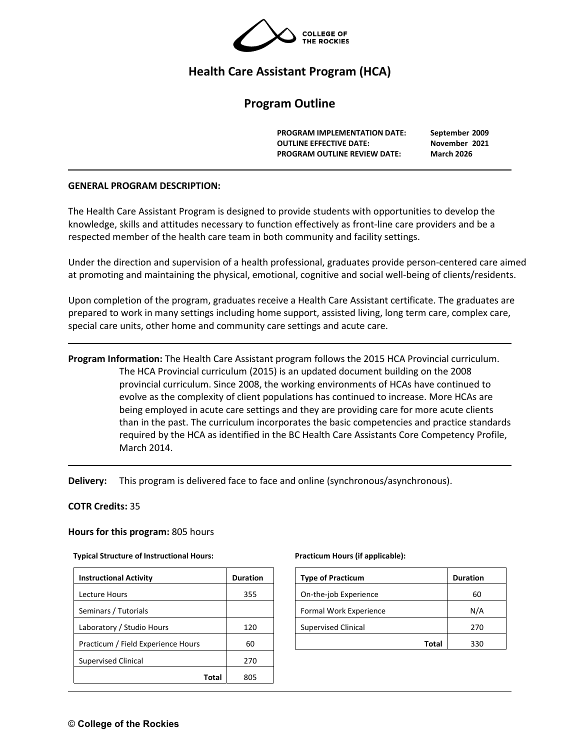

# **Health Care Assistant Program (HCA)**

# **Program Outline**

**PROGRAM IMPLEMENTATION DATE: September 2009 OUTLINE EFFECTIVE DATE: November 2021 PROGRAM OUTLINE REVIEW DATE: March 2026** 

#### **GENERAL PROGRAM DESCRIPTION:**

The Health Care Assistant Program is designed to provide students with opportunities to develop the knowledge, skills and attitudes necessary to function effectively as front-line care providers and be a respected member of the health care team in both community and facility settings.

Under the direction and supervision of a health professional, graduates provide person-centered care aimed at promoting and maintaining the physical, emotional, cognitive and social well-being of clients/residents.

Upon completion of the program, graduates receive a Health Care Assistant certificate. The graduates are prepared to work in many settings including home support, assisted living, long term care, complex care, special care units, other home and community care settings and acute care.

**Program Information:** The Health Care Assistant program follows the 2015 HCA Provincial curriculum. The HCA Provincial curriculum (2015) is an updated document building on the 2008 provincial curriculum. Since 2008, the working environments of HCAs have continued to evolve as the complexity of client populations has continued to increase. More HCAs are being employed in acute care settings and they are providing care for more acute clients than in the past. The curriculum incorporates the basic competencies and practice standards required by the HCA as identified in the BC Health Care Assistants Core Competency Profile, March 2014.

**Delivery:** This program is delivered face to face and online (synchronous/asynchronous).

#### **COTR Credits:** 35

#### **Hours for this program:** 805 hours

#### **Typical Structure of Instructional Hours: Practicum Hours (if applicable):**

| <b>Instructional Activity</b>      | <b>Duration</b> |
|------------------------------------|-----------------|
| Lecture Hours                      | 355             |
| Seminars / Tutorials               |                 |
| Laboratory / Studio Hours          | 120             |
| Practicum / Field Experience Hours | 60              |
| <b>Supervised Clinical</b>         | 270             |
| Total                              | 805             |

| <b>Type of Practicum</b>   | <b>Duration</b> |
|----------------------------|-----------------|
| On-the-job Experience      | 60              |
| Formal Work Experience     | N/A             |
| <b>Supervised Clinical</b> | 270             |
| Total                      | ววก             |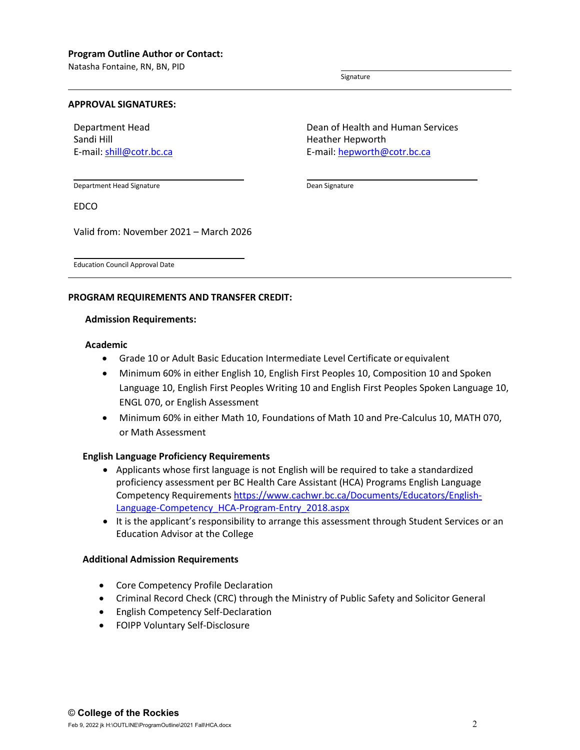Natasha Fontaine, RN, BN, PID

Signature

Dean Signature

#### **APPROVAL SIGNATURES:**

Department Head Sandi Hill E-mail: [shill@cotr.bc.ca](mailto:shill@cotr.bc.ca)

Dean of Health and Human Services Heather Hepworth E-mail: [hepworth@cotr.bc.ca](mailto:hepworth@cotr.bc.ca)

Department Head Signature

EDCO

Valid from: November 2021 – March 2026

Education Council Approval Date

## **PROGRAM REQUIREMENTS AND TRANSFER CREDIT:**

#### **Admission Requirements:**

#### **Academic**

- Grade 10 or Adult Basic Education Intermediate Level Certificate or equivalent
- Minimum 60% in either English 10, English First Peoples 10, Composition 10 and Spoken Language 10, English First Peoples Writing 10 and English First Peoples Spoken Language 10, ENGL 070, or English Assessment
- Minimum 60% in either Math 10, Foundations of Math 10 and Pre-Calculus 10, MATH 070, or Math Assessment

#### **English Language Proficiency Requirements**

- Applicants whose first language is not English will be required to take a standardized proficiency assessment per BC Health Care Assistant (HCA) Programs English Language Competency Requirements [https://www.cachwr.bc.ca/Documents/Educators/English-](https://www.cachwr.bc.ca/Documents/Educators/English-Language-Competency_HCA-Program-Entry_2018.aspx)[Language-Competency\\_HCA-Program-Entry\\_2018.aspx](https://www.cachwr.bc.ca/Documents/Educators/English-Language-Competency_HCA-Program-Entry_2018.aspx)
- It is the applicant's responsibility to arrange this assessment through Student Services or an Education Advisor at the College

#### **Additional Admission Requirements**

- Core Competency Profile Declaration
- Criminal Record Check (CRC) through the Ministry of Public Safety and Solicitor General
- English Competency Self-Declaration
- FOIPP Voluntary Self-Disclosure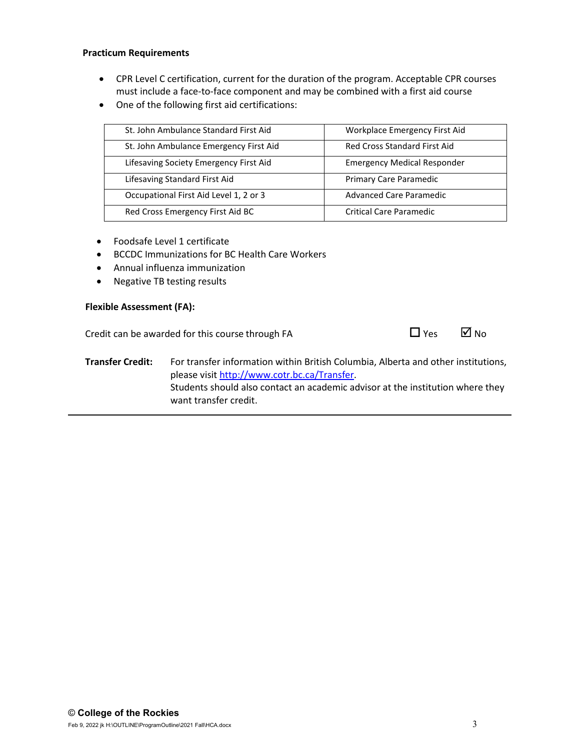# **Practicum Requirements**

- CPR Level C certification, current for the duration of the program. Acceptable CPR courses must include a face-to-face component and may be combined with a first aid course
- One of the following first aid certifications:

| St. John Ambulance Standard First Aid  | Workplace Emergency First Aid       |
|----------------------------------------|-------------------------------------|
| St. John Ambulance Emergency First Aid | <b>Red Cross Standard First Aid</b> |
| Lifesaving Society Emergency First Aid | <b>Emergency Medical Responder</b>  |
| Lifesaving Standard First Aid          | Primary Care Paramedic              |
| Occupational First Aid Level 1, 2 or 3 | <b>Advanced Care Paramedic</b>      |
| Red Cross Emergency First Aid BC       | <b>Critical Care Paramedic</b>      |

- Foodsafe Level 1 certificate
- BCCDC Immunizations for BC Health Care Workers
- Annual influenza immunization
- Negative TB testing results

#### **Flexible Assessment (FA):**

Credit can be awarded for this course through FA  $\Box$  Yes  $\Box$  No



**Transfer Credit:** For transfer information within British Columbia, Alberta and other institutions, please visit [http://www.cotr.bc.ca/Transfer.](http://www.cotr.bc.ca/Transfer) Students should also contact an academic advisor at the institution where they want transfer credit.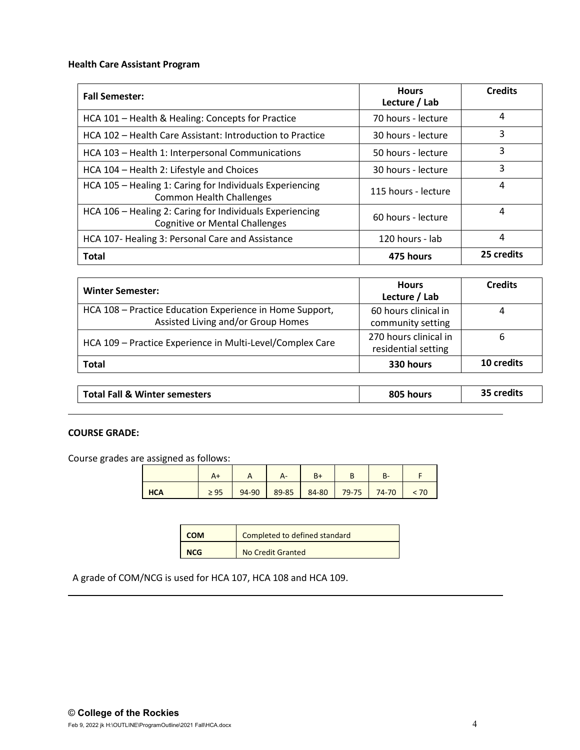# **Health Care Assistant Program**

| <b>Fall Semester:</b>                                                                                                   | <b>Hours</b><br>Lecture / Lab | <b>Credits</b> |
|-------------------------------------------------------------------------------------------------------------------------|-------------------------------|----------------|
| HCA 101 - Health & Healing: Concepts for Practice                                                                       | 70 hours - lecture            | 4              |
| HCA 102 - Health Care Assistant: Introduction to Practice<br>30 hours - lecture                                         |                               | 3              |
| HCA 103 - Health 1: Interpersonal Communications<br>50 hours - lecture                                                  |                               | 3              |
| HCA 104 - Health 2: Lifestyle and Choices<br>30 hours - lecture                                                         |                               | 3              |
| HCA 105 - Healing 1: Caring for Individuals Experiencing<br><b>Common Health Challenges</b>                             | 115 hours - lecture           | 4              |
| HCA 106 - Healing 2: Caring for Individuals Experiencing<br>60 hours - lecture<br><b>Cognitive or Mental Challenges</b> |                               | 4              |
| HCA 107- Healing 3: Personal Care and Assistance                                                                        | 4                             |                |
| Total                                                                                                                   | 475 hours                     | 25 credits     |

| <b>Winter Semester:</b>                                                                        | <b>Hours</b><br>Lecture / Lab                | <b>Credits</b> |
|------------------------------------------------------------------------------------------------|----------------------------------------------|----------------|
| HCA 108 - Practice Education Experience in Home Support,<br>Assisted Living and/or Group Homes | 60 hours clinical in<br>community setting    | 4              |
| HCA 109 - Practice Experience in Multi-Level/Complex Care                                      | 270 hours clinical in<br>residential setting | 6              |
| <b>Total</b>                                                                                   | 330 hours                                    | 10 credits     |

| Total Fall & Winter semesters | 805 hours | credits <sup>:</sup> |
|-------------------------------|-----------|----------------------|
|                               |           |                      |

# **COURSE GRADE:**

Course grades are assigned as follows:

|            |           |       | Δ-    | $B+$  |         | в-        |      |
|------------|-----------|-------|-------|-------|---------|-----------|------|
| <b>HCA</b> | $\geq 95$ | 94-90 | 89-85 | 84-80 | $79-75$ | $74 - 70$ | < 70 |

| <b>COM</b> | Completed to defined standard |
|------------|-------------------------------|
| <b>NCG</b> | No Credit Granted             |

A grade of COM/NCG is used for HCA 107, HCA 108 and HCA 109.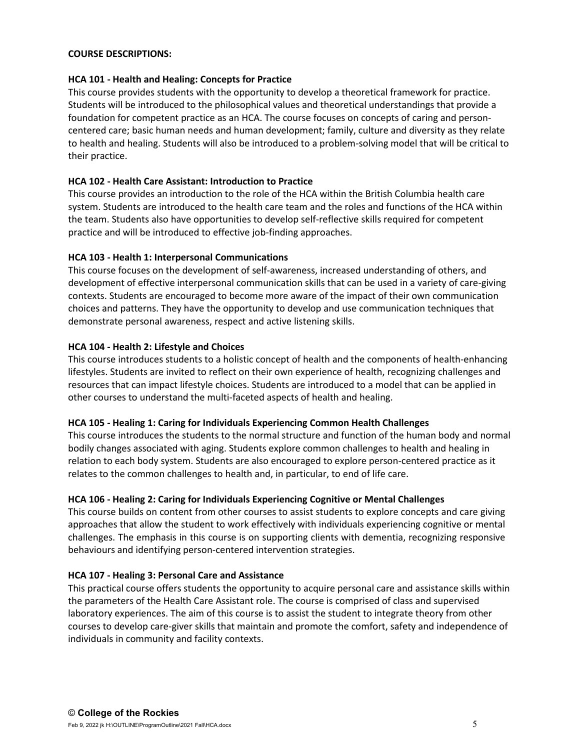## **COURSE DESCRIPTIONS:**

## **HCA 101 - Health and Healing: Concepts for Practice**

This course provides students with the opportunity to develop a theoretical framework for practice. Students will be introduced to the philosophical values and theoretical understandings that provide a foundation for competent practice as an HCA. The course focuses on concepts of caring and personcentered care; basic human needs and human development; family, culture and diversity as they relate to health and healing. Students will also be introduced to a problem-solving model that will be critical to their practice.

# **HCA 102 - Health Care Assistant: Introduction to Practice**

This course provides an introduction to the role of the HCA within the British Columbia health care system. Students are introduced to the health care team and the roles and functions of the HCA within the team. Students also have opportunities to develop self-reflective skills required for competent practice and will be introduced to effective job-finding approaches.

# **HCA 103 - Health 1: Interpersonal Communications**

This course focuses on the development of self-awareness, increased understanding of others, and development of effective interpersonal communication skills that can be used in a variety of care-giving contexts. Students are encouraged to become more aware of the impact of their own communication choices and patterns. They have the opportunity to develop and use communication techniques that demonstrate personal awareness, respect and active listening skills.

# **HCA 104 - Health 2: Lifestyle and Choices**

This course introduces students to a holistic concept of health and the components of health-enhancing lifestyles. Students are invited to reflect on their own experience of health, recognizing challenges and resources that can impact lifestyle choices. Students are introduced to a model that can be applied in other courses to understand the multi-faceted aspects of health and healing.

# **HCA 105 - Healing 1: Caring for Individuals Experiencing Common Health Challenges**

This course introduces the students to the normal structure and function of the human body and normal bodily changes associated with aging. Students explore common challenges to health and healing in relation to each body system. Students are also encouraged to explore person-centered practice as it relates to the common challenges to health and, in particular, to end of life care.

#### **HCA 106 - Healing 2: Caring for Individuals Experiencing Cognitive or Mental Challenges**

This course builds on content from other courses to assist students to explore concepts and care giving approaches that allow the student to work effectively with individuals experiencing cognitive or mental challenges. The emphasis in this course is on supporting clients with dementia, recognizing responsive behaviours and identifying person-centered intervention strategies.

#### **HCA 107 - Healing 3: Personal Care and Assistance**

This practical course offers students the opportunity to acquire personal care and assistance skills within the parameters of the Health Care Assistant role. The course is comprised of class and supervised laboratory experiences. The aim of this course is to assist the student to integrate theory from other courses to develop care-giver skills that maintain and promote the comfort, safety and independence of individuals in community and facility contexts.